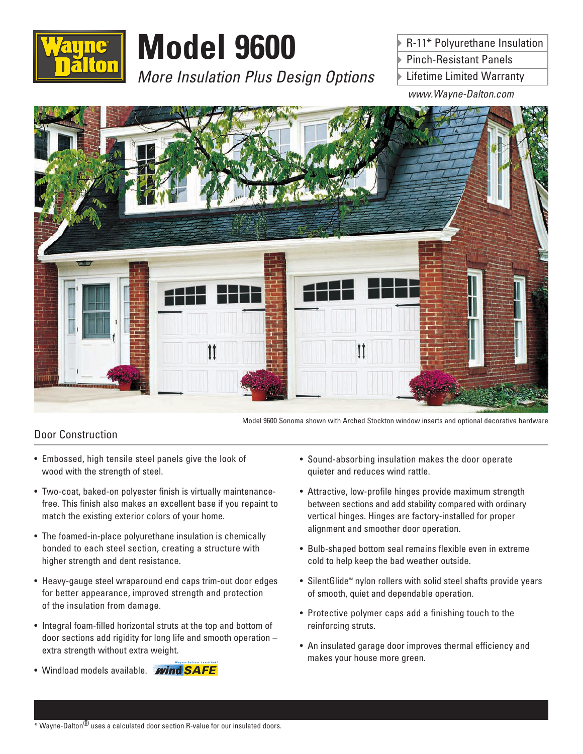

# **Model 9600**

*More Insulation Plus Design Options*

R-11\* Polyurethane Insulation Pinch-Resistant Panels

Lifetime Limited Warranty

*www.Wayne-Dalton.com*



Model 9600 Sonoma shown with Arched Stockton window inserts and optional decorative hardware

### Door Construction

- Embossed, high tensile steel panels give the look of wood with the strength of steel.
- Two-coat, baked-on polyester finish is virtually maintenancefree. This finish also makes an excellent base if you repaint to match the existing exterior colors of your home.
- The foamed-in-place polyurethane insulation is chemically bonded to each steel section, creating a structure with higher strength and dent resistance.
- Heavy-gauge steel wraparound end caps trim-out door edges for better appearance, improved strength and protection of the insulation from damage.
- Integral foam-filled horizontal struts at the top and bottom of door sections add rigidity for long life and smooth operation – extra strength without extra weight.
- Windload models available. **Wind SAFE**
- Sound-absorbing insulation makes the door operate quieter and reduces wind rattle.
- Attractive, low-profile hinges provide maximum strength between sections and add stability compared with ordinary vertical hinges. Hinges are factory-installed for proper alignment and smoother door operation.
- Bulb-shaped bottom seal remains flexible even in extreme cold to help keep the bad weather outside.
- SilentGlide™ nylon rollers with solid steel shafts provide years of smooth, quiet and dependable operation.
- Protective polymer caps add a finishing touch to the reinforcing struts.
- An insulated garage door improves thermal efficiency and makes your house more green.